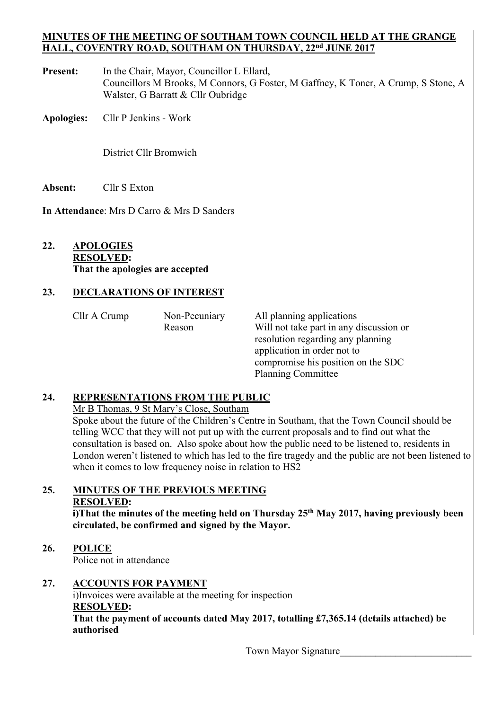#### **MINUTES OF THE MEETING OF SOUTHAM TOWN COUNCIL HELD AT THE GRANGE HALL, COVENTRY ROAD, SOUTHAM ON THURSDAY, 22nd JUNE 2017**

- Present: In the Chair, Mayor, Councillor L Ellard, Councillors M Brooks, M Connors, G Foster, M Gaffney, K Toner, A Crump, S Stone, A Walster, G Barratt & Cllr Oubridge
- **Apologies:** Cllr P Jenkins Work

District Cllr Bromwich

**Absent:** Cllr S Exton

**In Attendance**: Mrs D Carro & Mrs D Sanders

# **22. APOLOGIES RESOLVED: That the apologies are accepted**

# **23. DECLARATIONS OF INTEREST**

| Cllr A Crump | Non-Pecuniary | All planning applications               |
|--------------|---------------|-----------------------------------------|
|              | Reason        | Will not take part in any discussion or |
|              |               | resolution regarding any planning       |
|              |               | application in order not to             |
|              |               | compromise his position on the SDC      |
|              |               | <b>Planning Committee</b>               |

## **24. REPRESENTATIONS FROM THE PUBLIC**

Mr B Thomas, 9 St Mary's Close, Southam

 Spoke about the future of the Children's Centre in Southam, that the Town Council should be telling WCC that they will not put up with the current proposals and to find out what the consultation is based on. Also spoke about how the public need to be listened to, residents in London weren't listened to which has led to the fire tragedy and the public are not been listened to when it comes to low frequency noise in relation to HS2

#### **25. MINUTES OF THE PREVIOUS MEETING RESOLVED:**

**i)That the minutes of the meeting held on Thursday 25th May 2017, having previously been circulated, be confirmed and signed by the Mayor.** 

## **26. POLICE**

Police not in attendance

## **27. ACCOUNTS FOR PAYMENT**

 i)Invoices were available at the meeting for inspection **RESOLVED:** 

**That the payment of accounts dated May 2017, totalling £7,365.14 (details attached) be authorised** 

Town Mayor Signature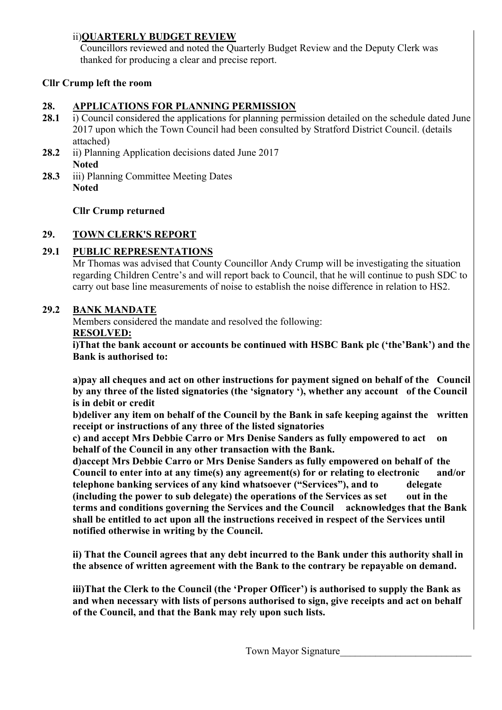# ii)**QUARTERLY BUDGET REVIEW**

Councillors reviewed and noted the Quarterly Budget Review and the Deputy Clerk was thanked for producing a clear and precise report.

# **Cllr Crump left the room**

## **28. APPLICATIONS FOR PLANNING PERMISSION**

- 28.1 i) Council considered the applications for planning permission detailed on the schedule dated June 2017 upon which the Town Council had been consulted by Stratford District Council. (details attached)
- **28.2** ii) Planning Application decisions dated June 2017 **Noted**
- 28.3 iii) Planning Committee Meeting Dates **Noted**

# **Cllr Crump returned**

# **29. TOWN CLERK'S REPORT**

# **29.1 PUBLIC REPRESENTATIONS**

Mr Thomas was advised that County Councillor Andy Crump will be investigating the situation regarding Children Centre's and will report back to Council, that he will continue to push SDC to carry out base line measurements of noise to establish the noise difference in relation to HS2.

## **29.2 BANK MANDATE**

Members considered the mandate and resolved the following:  **RESOLVED:** 

 **i)That the bank account or accounts be continued with HSBC Bank plc ('the'Bank') and the Bank is authorised to:** 

**a)pay all cheques and act on other instructions for payment signed on behalf of the Council by any three of the listed signatories (the 'signatory '), whether any account of the Council is in debit or credit** 

**b)deliver any item on behalf of the Council by the Bank in safe keeping against the written receipt or instructions of any three of the listed signatories** 

**c) and accept Mrs Debbie Carro or Mrs Denise Sanders as fully empowered to act on behalf of the Council in any other transaction with the Bank.** 

**d)accept Mrs Debbie Carro or Mrs Denise Sanders as fully empowered on behalf of the Council to enter into at any time(s) any agreement(s) for or relating to electronic and/or telephone banking services of any kind whatsoever ("Services"), and to delegate (including the power to sub delegate) the operations of the Services as set out in the terms and conditions governing the Services and the Council acknowledges that the Bank shall be entitled to act upon all the instructions received in respect of the Services until notified otherwise in writing by the Council.** 

**ii) That the Council agrees that any debt incurred to the Bank under this authority shall in the absence of written agreement with the Bank to the contrary be repayable on demand.** 

**iii)That the Clerk to the Council (the 'Proper Officer') is authorised to supply the Bank as and when necessary with lists of persons authorised to sign, give receipts and act on behalf of the Council, and that the Bank may rely upon such lists.**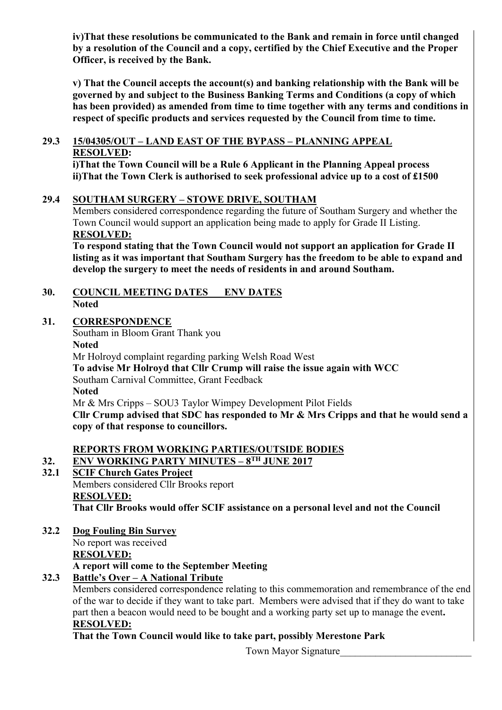**iv)That these resolutions be communicated to the Bank and remain in force until changed by a resolution of the Council and a copy, certified by the Chief Executive and the Proper Officer, is received by the Bank.** 

**v) That the Council accepts the account(s) and banking relationship with the Bank will be governed by and subject to the Business Banking Terms and Conditions (a copy of which has been provided) as amended from time to time together with any terms and conditions in respect of specific products and services requested by the Council from time to time.** 

#### **29.3 15/04305/OUT – LAND EAST OF THE BYPASS – PLANNING APPEAL RESOLVED:**

 **i)That the Town Council will be a Rule 6 Applicant in the Planning Appeal process ii)That the Town Clerk is authorised to seek professional advice up to a cost of £1500** 

## **29.4 SOUTHAM SURGERY – STOWE DRIVE, SOUTHAM**

Members considered correspondence regarding the future of Southam Surgery and whether the Town Council would support an application being made to apply for Grade II Listing. **RESOLVED:** 

 **To respond stating that the Town Council would not support an application for Grade II listing as it was important that Southam Surgery has the freedom to be able to expand and develop the surgery to meet the needs of residents in and around Southam.** 

#### **30. COUNCIL MEETING DATES ENV DATES Noted**

## **31. CORRESPONDENCE**

Southam in Bloom Grant Thank you **Noted**  Mr Holroyd complaint regarding parking Welsh Road West **To advise Mr Holroyd that Cllr Crump will raise the issue again with WCC**  Southam Carnival Committee, Grant Feedback **Noted**  Mr & Mrs Cripps – SOU3 Taylor Wimpey Development Pilot Fields **Cllr Crump advised that SDC has responded to Mr & Mrs Cripps and that he would send a copy of that response to councillors.**

# **REPORTS FROM WORKING PARTIES/OUTSIDE BODIES**

# **32. ENV WORKING PARTY MINUTES – 8TH JUNE 2017**

#### **32.1 SCIF Church Gates Project**  Members considered Cllr Brooks report

 **RESOLVED: That Cllr Brooks would offer SCIF assistance on a personal level and not the Council** 

**32.2 Dog Fouling Bin Survey**  No report was received  **RESOLVED: A report will come to the September Meeting** 

# **32.3 Battle's Over – A National Tribute**

Members considered correspondence relating to this commemoration and remembrance of the end of the war to decide if they want to take part. Members were advised that if they do want to take part then a beacon would need to be bought and a working party set up to manage the event**. RESOLVED:** 

 **That the Town Council would like to take part, possibly Merestone Park** 

Town Mayor Signature\_\_\_\_\_\_\_\_\_\_\_\_\_\_\_\_\_\_\_\_\_\_\_\_\_\_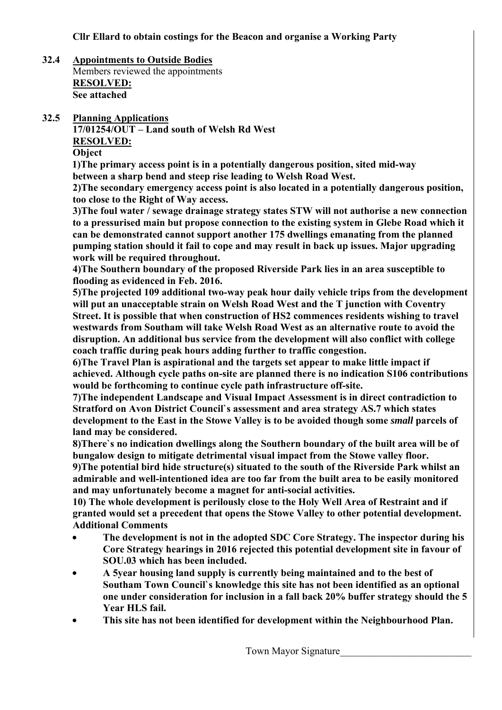- **32.4 Appointments to Outside Bodies**  Members reviewed the appointments  **RESOLVED: See attached**
- **32.5 Planning Applications 17/01254/OUT – Land south of Welsh Rd West RESOLVED: Object**

**1)The primary access point is in a potentially dangerous position, sited mid-way between a sharp bend and steep rise leading to Welsh Road West.** 

 **2)The secondary emergency access point is also located in a potentially dangerous position, too close to the Right of Way access.** 

 **3)The foul water / sewage drainage strategy states STW will not authorise a new connection to a pressurised main but propose connection to the existing system in Glebe Road which it can be demonstrated cannot support another 175 dwellings emanating from the planned pumping station should it fail to cope and may result in back up issues. Major upgrading work will be required throughout.** 

 **4)The Southern boundary of the proposed Riverside Park lies in an area susceptible to flooding as evidenced in Feb. 2016.** 

 **5)The projected 109 additional two-way peak hour daily vehicle trips from the development will put an unacceptable strain on Welsh Road West and the T junction with Coventry Street. It is possible that when construction of HS2 commences residents wishing to travel westwards from Southam will take Welsh Road West as an alternative route to avoid the disruption. An additional bus service from the development will also conflict with college coach traffic during peak hours adding further to traffic congestion.** 

 **6)The Travel Plan is aspirational and the targets set appear to make little impact if achieved. Although cycle paths on-site are planned there is no indication S106 contributions would be forthcoming to continue cycle path infrastructure off-site.** 

 **7)The independent Landscape and Visual Impact Assessment is in direct contradiction to Stratford on Avon District Council`s assessment and area strategy AS.7 which states development to the East in the Stowe Valley is to be avoided though some** *small* **parcels of land may be considered.** 

 **8)There`s no indication dwellings along the Southern boundary of the built area will be of bungalow design to mitigate detrimental visual impact from the Stowe valley floor. 9)The potential bird hide structure(s) situated to the south of the Riverside Park whilst an admirable and well-intentioned idea are too far from the built area to be easily monitored** 

 **and may unfortunately become a magnet for anti-social activities.** 

 **10) The whole development is perilously close to the Holy Well Area of Restraint and if granted would set a precedent that opens the Stowe Valley to other potential development. Additional Comments** 

- **The development is not in the adopted SDC Core Strategy. The inspector during his Core Strategy hearings in 2016 rejected this potential development site in favour of SOU.03 which has been included.**
- **A 5year housing land supply is currently being maintained and to the best of Southam Town Council`s knowledge this site has not been identified as an optional one under consideration for inclusion in a fall back 20% buffer strategy should the 5 Year HLS fail.**
- **This site has not been identified for development within the Neighbourhood Plan.**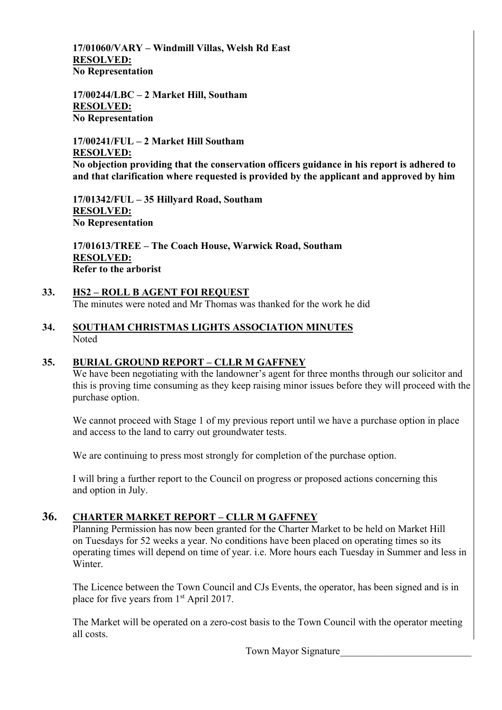**17/01060/VARY – Windmill Villas, Welsh Rd East RESOLVED: No Representation** 

 **17/00244/LBC – 2 Market Hill, Southam RESOLVED: No Representation** 

 **17/00241/FUL – 2 Market Hill Southam RESOLVED: No objection providing that the conservation officers guidance in his report is adhered to and that clarification where requested is provided by the applicant and approved by him** 

 **17/01342/FUL – 35 Hillyard Road, Southam RESOLVED: No Representation** 

 **17/01613/TREE – The Coach House, Warwick Road, Southam RESOLVED: Refer to the arborist** 

- **33. HS2 ROLL B AGENT FOI REQUEST**  The minutes were noted and Mr Thomas was thanked for the work he did
- **34. SOUTHAM CHRISTMAS LIGHTS ASSOCIATION MINUTES**  Noted

## **35. BURIAL GROUND REPORT – CLLR M GAFFNEY**

We have been negotiating with the landowner's agent for three months through our solicitor and this is proving time consuming as they keep raising minor issues before they will proceed with the purchase option.

We cannot proceed with Stage 1 of my previous report until we have a purchase option in place and access to the land to carry out groundwater tests.

We are continuing to press most strongly for completion of the purchase option.

 I will bring a further report to the Council on progress or proposed actions concerning this and option in July.

## **36. CHARTER MARKET REPORT – CLLR M GAFFNEY**

Planning Permission has now been granted for the Charter Market to be held on Market Hill on Tuesdays for 52 weeks a year. No conditions have been placed on operating times so its operating times will depend on time of year. i.e. More hours each Tuesday in Summer and less in **Winter** 

 The Licence between the Town Council and CJs Events, the operator, has been signed and is in place for five years from 1<sup>st</sup> April 2017.

 The Market will be operated on a zero-cost basis to the Town Council with the operator meeting all costs.

Town Mayor Signature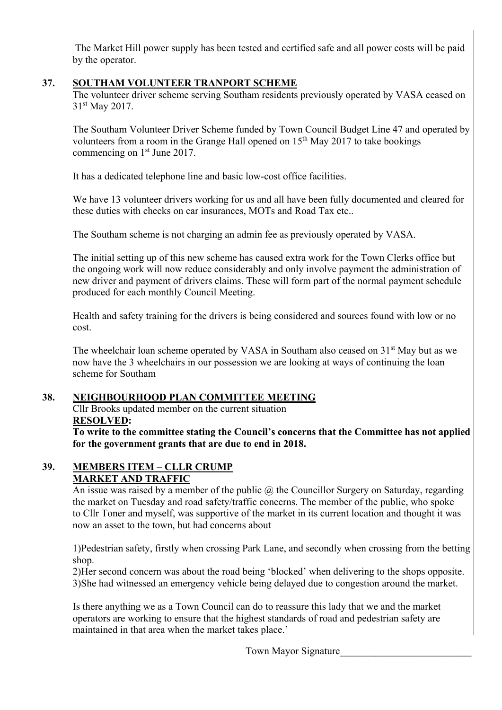The Market Hill power supply has been tested and certified safe and all power costs will be paid by the operator.

# **37. SOUTHAM VOLUNTEER TRANPORT SCHEME**

The volunteer driver scheme serving Southam residents previously operated by VASA ceased on 31st May 2017.

 The Southam Volunteer Driver Scheme funded by Town Council Budget Line 47 and operated by volunteers from a room in the Grange Hall opened on  $15<sup>th</sup>$  May 2017 to take bookings commencing on 1<sup>st</sup> June 2017.

It has a dedicated telephone line and basic low-cost office facilities.

We have 13 volunteer drivers working for us and all have been fully documented and cleared for these duties with checks on car insurances, MOTs and Road Tax etc..

The Southam scheme is not charging an admin fee as previously operated by VASA.

 The initial setting up of this new scheme has caused extra work for the Town Clerks office but the ongoing work will now reduce considerably and only involve payment the administration of new driver and payment of drivers claims. These will form part of the normal payment schedule produced for each monthly Council Meeting.

 Health and safety training for the drivers is being considered and sources found with low or no cost.

The wheelchair loan scheme operated by VASA in Southam also ceased on 31<sup>st</sup> May but as we now have the 3 wheelchairs in our possession we are looking at ways of continuing the loan scheme for Southam

# **38. NEIGHBOURHOOD PLAN COMMITTEE MEETING**

Cllr Brooks updated member on the current situation  **RESOLVED:** 

 **To write to the committee stating the Council's concerns that the Committee has not applied for the government grants that are due to end in 2018.** 

#### **39. MEMBERS ITEM – CLLR CRUMP MARKET AND TRAFFIC**

An issue was raised by a member of the public  $\omega$  the Councillor Surgery on Saturday, regarding the market on Tuesday and road safety/traffic concerns. The member of the public, who spoke to Cllr Toner and myself, was supportive of the market in its current location and thought it was now an asset to the town, but had concerns about

 1)Pedestrian safety, firstly when crossing Park Lane, and secondly when crossing from the betting shop.

 2)Her second concern was about the road being 'blocked' when delivering to the shops opposite. 3)She had witnessed an emergency vehicle being delayed due to congestion around the market.

 Is there anything we as a Town Council can do to reassure this lady that we and the market operators are working to ensure that the highest standards of road and pedestrian safety are maintained in that area when the market takes place.'

Town Mayor Signature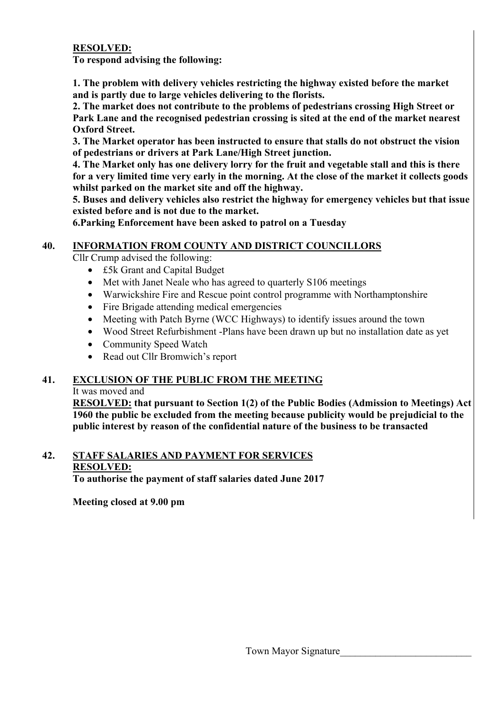# **RESOLVED:**

**To respond advising the following:** 

**1. The problem with delivery vehicles restricting the highway existed before the market and is partly due to large vehicles delivering to the florists.** 

 **2. The market does not contribute to the problems of pedestrians crossing High Street or Park Lane and the recognised pedestrian crossing is sited at the end of the market nearest Oxford Street.** 

 **3. The Market operator has been instructed to ensure that stalls do not obstruct the vision of pedestrians or drivers at Park Lane/High Street junction.** 

 **4. The Market only has one delivery lorry for the fruit and vegetable stall and this is there for a very limited time very early in the morning. At the close of the market it collects goods whilst parked on the market site and off the highway.** 

 **5. Buses and delivery vehicles also restrict the highway for emergency vehicles but that issue existed before and is not due to the market.** 

 **6.Parking Enforcement have been asked to patrol on a Tuesday** 

## **40. INFORMATION FROM COUNTY AND DISTRICT COUNCILLORS**

Cllr Crump advised the following:

- £5k Grant and Capital Budget
- Met with Janet Neale who has agreed to quarterly S106 meetings
- Warwickshire Fire and Rescue point control programme with Northamptonshire
- Fire Brigade attending medical emergencies
- Meeting with Patch Byrne (WCC Highways) to identify issues around the town
- Wood Street Refurbishment -Plans have been drawn up but no installation date as yet
- Community Speed Watch
- Read out Cllr Bromwich's report

## **41. EXCLUSION OF THE PUBLIC FROM THE MEETING**

#### It was moved and

**RESOLVED: that pursuant to Section 1(2) of the Public Bodies (Admission to Meetings) Act 1960 the public be excluded from the meeting because publicity would be prejudicial to the public interest by reason of the confidential nature of the business to be transacted** 

#### **42. STAFF SALARIES AND PAYMENT FOR SERVICES RESOLVED: To authorise the payment of staff salaries dated June 2017**

**Meeting closed at 9.00 pm**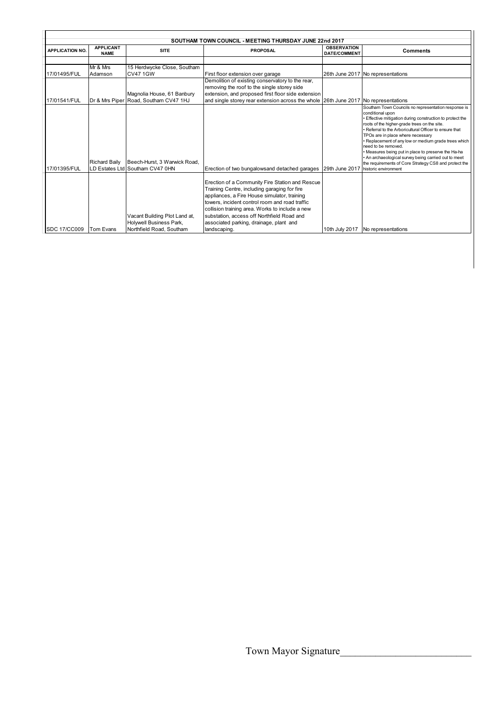| SOUTHAM TOWN COUNCIL - MEETING THURSDAY JUNE 22nd 2017 |                                 |                                                                                                          |                                                                                                                                                                                                                                                                                                                                                               |                                           |                                                                                                                                                                                                                                                                                                                                                                                                                                                                                                                                                               |  |  |  |  |  |
|--------------------------------------------------------|---------------------------------|----------------------------------------------------------------------------------------------------------|---------------------------------------------------------------------------------------------------------------------------------------------------------------------------------------------------------------------------------------------------------------------------------------------------------------------------------------------------------------|-------------------------------------------|---------------------------------------------------------------------------------------------------------------------------------------------------------------------------------------------------------------------------------------------------------------------------------------------------------------------------------------------------------------------------------------------------------------------------------------------------------------------------------------------------------------------------------------------------------------|--|--|--|--|--|
| <b>APPLICATION NO.</b>                                 | <b>APPLICANT</b><br><b>NAME</b> | <b>SITE</b>                                                                                              | <b>PROPOSAL</b>                                                                                                                                                                                                                                                                                                                                               | <b>OBSERVATION</b><br><b>DATE/COMMENT</b> | <b>Comments</b>                                                                                                                                                                                                                                                                                                                                                                                                                                                                                                                                               |  |  |  |  |  |
|                                                        |                                 |                                                                                                          |                                                                                                                                                                                                                                                                                                                                                               |                                           |                                                                                                                                                                                                                                                                                                                                                                                                                                                                                                                                                               |  |  |  |  |  |
| 17/01495/FUL                                           | Mr & Mrs<br>Adamson             | 15 Herdwycke Close, Southam<br><b>CV47 1GW</b>                                                           | First floor extension over garage                                                                                                                                                                                                                                                                                                                             |                                           | 26th June 2017 No representations                                                                                                                                                                                                                                                                                                                                                                                                                                                                                                                             |  |  |  |  |  |
|                                                        |                                 | Magnolia House, 61 Banbury                                                                               | Demolition of existing conservatory to the rear,<br>removing the roof to the single storey side<br>extension, and proposed first floor side extension                                                                                                                                                                                                         |                                           |                                                                                                                                                                                                                                                                                                                                                                                                                                                                                                                                                               |  |  |  |  |  |
| 17/01541/FUL<br>17/01395/FUL                           | <b>Richard Baily</b>            | Dr & Mrs Piper Road, Southam CV47 1HJ<br>Beech-Hurst, 3 Warwick Road,<br>LD Estates Ltd Southam CV47 0HN | and single storey rear extension across the whole 26th June 2017 No representations<br>Erection of two bungalowsand detached garages                                                                                                                                                                                                                          | 29th June 2017                            | Southam Town Councils no representation response is<br>conditional upon<br>Effective mitigation during construction to protect the<br>roots of the higher-grade trees on the site.<br>Referral to the Arboricultural Officer to ensure that<br>TPOs are in place where necessary<br>· Replacement of any low or medium grade trees which<br>need to be removed.<br>. Measures being put in place to preserve the Ha-ha<br>An archaeological survey being carried out to meet<br>the requirements of Core Strategy CS8 and protect the<br>historic environment |  |  |  |  |  |
| <b>SDC 17/CC009</b>                                    | Tom Evans                       | Vacant Building Plot Land at,<br>Holywell Business Park,<br>Northfield Road, Southam                     | Erection of a Community Fire Station and Rescue<br>Training Centre, including garaging for fire<br>appliances, a Fire House simulator, training<br>towers, incident control room and road traffic<br>collision training area. Works to include a new<br>substation, access off Northfield Road and<br>associated parking, drainage, plant and<br>landscaping. |                                           | 10th July 2017 No representations                                                                                                                                                                                                                                                                                                                                                                                                                                                                                                                             |  |  |  |  |  |